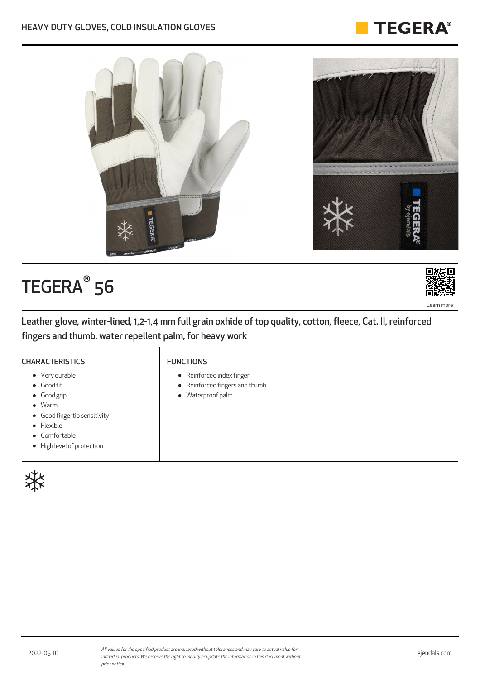#### HEAVY DUTY GLOVES, COLD INSULATION GLOVES



# TEGERA<sup>®</sup> 56



**TEGERA®** 

Leather glove, winter-lined, 1,2-1,4 mm full grain oxhide of top quality, cotton, fleece, Cat. II, reinforced fingers and thumb, water repellent palm, for heavy work

#### **CHARACTERISTICS**

#### FUNCTIONS

- Very durable
- Good fit
- Good grip
- Warm
- Good fingertip sensitivity
- Flexible
- Comfortable
- High level of protection



- Reinforced index finger
- Reinforced fingers and thumb
- Waterproof palm